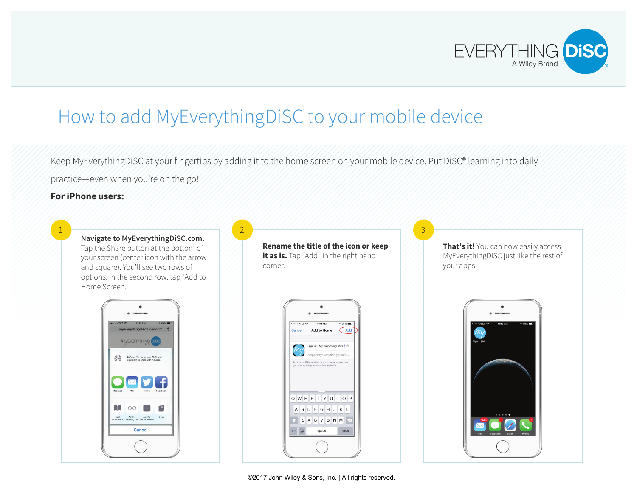

## How to add MyEverythingDiSC to your mobile device

2

Keep MyEverythingDiSC at your fingertips by adding it to the home screen on your mobile device. Put DiSC® learning into daily practice—even when you're on the go!

## **For iPhone users:**

1

**Navigate to MyEverythingDiSC.com.** Tap the Share button at the bottom of your screen (center icon with the arrow and square). You'll see two rows of options. In the second row, tap "Add to Home Screen."



**Rename the title of the icon or keep**  it as is. Tap "Add" in the right hand corner.



**That's it!** You can now easily access MyEverythingDiSC just like the rest of your apps!

3